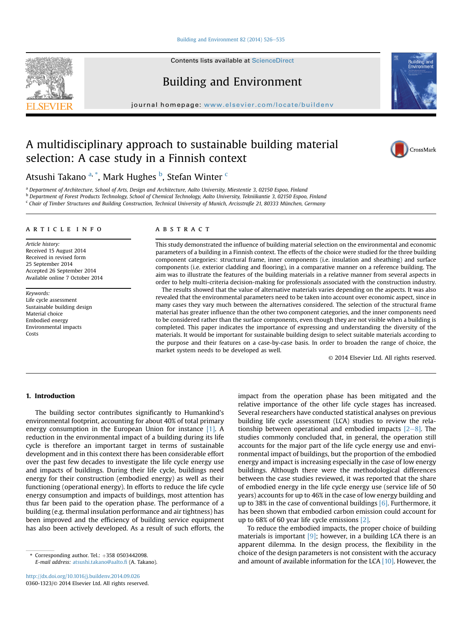#### [Building and Environment 82 \(2014\) 526](http://dx.doi.org/10.1016/j.buildenv.2014.09.026)-[535](http://dx.doi.org/10.1016/j.buildenv.2014.09.026)

Contents lists available at [ScienceDirect](www.sciencedirect.com/science/journal/03601323)

Building and Environment

journal homepage: [www.elsevier.com/locate/buildenv](http://www.elsevier.com/locate/buildenv)



Atsushi Takano <sup>a, \*</sup>, Mark Hughes <sup>b</sup>, Stefan Winter <sup>c</sup>

<sup>a</sup> Department of Architecture, School of Arts, Design and Architecture, Aalto University, Miestentie 3, 02150 Espoo, Finland

<sup>b</sup> Department of Forest Products Technology, School of Chemical Technology, Aalto University, Tekniikantie 3, 02150 Espoo, Finland

<sup>c</sup> Chair of Timber Structures and Building Construction, Technical University of Munich, Arcisstraße 21, 80333 München, Germany

#### article info

Article history: Received 15 August 2014 Received in revised form 25 September 2014 Accepted 26 September 2014 Available online 7 October 2014

Keywords: Life cycle assessment Sustainable building design Material choice Embodied energy Environmental impacts Costs

#### **ABSTRACT**

This study demonstrated the influence of building material selection on the environmental and economic parameters of a building in a Finnish context. The effects of the choice were studied for the three building component categories: structural frame, inner components (i.e. insulation and sheathing) and surface components (i.e. exterior cladding and flooring), in a comparative manner on a reference building. The aim was to illustrate the features of the building materials in a relative manner from several aspects in order to help multi-criteria decision-making for professionals associated with the construction industry.

The results showed that the value of alternative materials varies depending on the aspects. It was also revealed that the environmental parameters need to be taken into account over economic aspect, since in many cases they vary much between the alternatives considered. The selection of the structural frame material has greater influence than the other two component categories, and the inner components need to be considered rather than the surface components, even though they are not visible when a building is completed. This paper indicates the importance of expressing and understanding the diversity of the materials. It would be important for sustainable building design to select suitable materials according to the purpose and their features on a case-by-case basis. In order to broaden the range of choice, the market system needs to be developed as well.

© 2014 Elsevier Ltd. All rights reserved.

# 1. Introduction

The building sector contributes significantly to Humankind's environmental footprint, accounting for about 40% of total primary energy consumption in the European Union for instance [1]. A reduction in the environmental impact of a building during its life cycle is therefore an important target in terms of sustainable development and in this context there has been considerable effort over the past few decades to investigate the life cycle energy use and impacts of buildings. During their life cycle, buildings need energy for their construction (embodied energy) as well as their functioning (operational energy). In efforts to reduce the life cycle energy consumption and impacts of buildings, most attention has thus far been paid to the operation phase. The performance of a building (e.g. thermal insulation performance and air tightness) has been improved and the efficiency of building service equipment has also been actively developed. As a result of such efforts, the impact from the operation phase has been mitigated and the relative importance of the other life cycle stages has increased. Several researchers have conducted statistical analyses on previous building life cycle assessment (LCA) studies to review the relationship between operational and embodied impacts  $[2-8]$ . The studies commonly concluded that, in general, the operation still accounts for the major part of the life cycle energy use and environmental impact of buildings, but the proportion of the embodied energy and impact is increasing especially in the case of low energy buildings. Although there were the methodological differences between the case studies reviewed, it was reported that the share of embodied energy in the life cycle energy use (service life of 50 years) accounts for up to 46% in the case of low energy building and up to 38% in the case of conventional buildings  $[6]$ . Furthermore, it has been shown that embodied carbon emission could account for up to 68% of 60 year life cycle emissions [2].

To reduce the embodied impacts, the proper choice of building materials is important  $[9]$ ; however, in a building LCA there is an apparent dilemma. In the design process, the flexibility in the choice of the design parameters is not consistent with the accuracy and amount of available information for the LCA [10]. However, the





**Ruildin** 

 $*$  Corresponding author. Tel.:  $+358$  0503442098. E-mail address: [atsushi.takano@aalto.](mailto:atsushi.takano@aalto.fi)fi (A. Takano).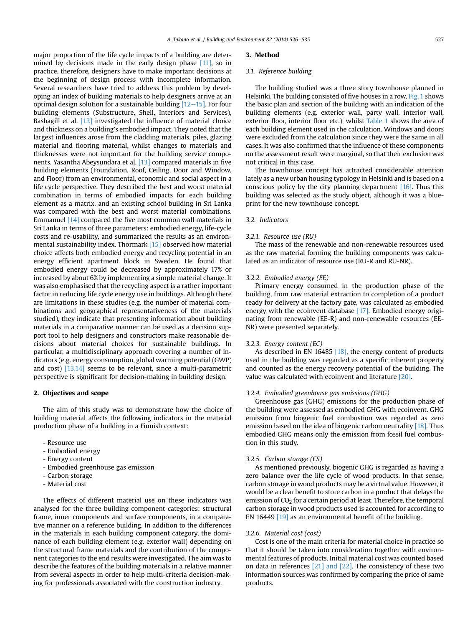major proportion of the life cycle impacts of a building are determined by decisions made in the early design phase [11], so in practice, therefore, designers have to make important decisions at the beginning of design process with incomplete information. Several researchers have tried to address this problem by developing an index of building materials to help designers arrive at an optimal design solution for a sustainable building  $[12-15]$ . For four building elements (Substructure, Shell, Interiors and Services), Basbagill et al. [12] investigated the influence of material choice and thickness on a building's embodied impact. They noted that the largest influences arose from the cladding materials, piles, glazing material and flooring material, whilst changes to materials and thicknesses were not important for the building service components. Yasantha Abeysundara et al. [13] compared materials in five building elements (Foundation, Roof, Ceiling, Door and Window, and Floor) from an environmental, economic and social aspect in a life cycle perspective. They described the best and worst material combination in terms of embodied impacts for each building element as a matrix, and an existing school building in Sri Lanka was compared with the best and worst material combinations. Emmanuel [14] compared the five most common wall materials in Sri Lanka in terms of three parameters: embodied energy, life-cycle costs and re-usability, and summarized the results as an environmental sustainability index. Thormark [15] observed how material choice affects both embodied energy and recycling potential in an energy efficient apartment block in Sweden. He found that embodied energy could be decreased by approximately 17% or increased by about 6% by implementing a simple material change. It was also emphasised that the recycling aspect is a rather important factor in reducing life cycle energy use in buildings. Although there are limitations in these studies (e.g. the number of material combinations and geographical representativeness of the materials studied), they indicate that presenting information about building materials in a comparative manner can be used as a decision support tool to help designers and constructors make reasonable decisions about material choices for sustainable buildings. In particular, a multidisciplinary approach covering a number of indicators (e.g. energy consumption, global warming potential (GWP) and cost) [13,14] seems to be relevant, since a multi-parametric perspective is significant for decision-making in building design.

## 2. Objectives and scope

The aim of this study was to demonstrate how the choice of building material affects the following indicators in the material production phase of a building in a Finnish context:

- Resource use
- Embodied energy
- Energy content
- Embodied greenhouse gas emission
- Carbon storage
- Material cost

The effects of different material use on these indicators was analysed for the three building component categories: structural frame, inner components and surface components, in a comparative manner on a reference building. In addition to the differences in the materials in each building component category, the dominance of each building element (e.g. exterior wall) depending on the structural frame materials and the contribution of the component categories to the end results were investigated. The aim was to describe the features of the building materials in a relative manner from several aspects in order to help multi-criteria decision-making for professionals associated with the construction industry.

#### 3. Method

#### 3.1. Reference building

The building studied was a three story townhouse planned in Helsinki. The building consisted of five houses in a row. Fig. 1 shows the basic plan and section of the building with an indication of the building elements (e.g. exterior wall, party wall, interior wall, exterior floor, interior floor etc.), whilst Table 1 shows the area of each building element used in the calculation. Windows and doors were excluded from the calculation since they were the same in all cases. It was also confirmed that the influence of these components on the assessment result were marginal, so that their exclusion was not critical in this case.

The townhouse concept has attracted considerable attention lately as a new urban housing typology in Helsinki and is based on a conscious policy by the city planning department  $[16]$ . Thus this building was selected as the study object, although it was a blueprint for the new townhouse concept.

#### 3.2. Indicators

#### 3.2.1. Resource use (RU)

The mass of the renewable and non-renewable resources used as the raw material forming the building components was calculated as an indicator of resource use (RU-R and RU-NR).

#### 3.2.2. Embodied energy (EE)

Primary energy consumed in the production phase of the building, from raw material extraction to completion of a product ready for delivery at the factory gate, was calculated as embodied energy with the ecoinvent database [17]. Embodied energy originating from renewable (EE-R) and non-renewable resources (EE-NR) were presented separately.

#### 3.2.3. Energy content (EC)

As described in EN 16485 [18], the energy content of products used in the building was regarded as a specific inherent property and counted as the energy recovery potential of the building. The value was calculated with ecoinvent and literature [20].

### 3.2.4. Embodied greenhouse gas emissions (GHG)

Greenhouse gas (GHG) emissions for the production phase of the building were assessed as embodied GHG with ecoinvent. GHG emission from biogenic fuel combustion was regarded as zero emission based on the idea of biogenic carbon neutrality [18]. Thus embodied GHG means only the emission from fossil fuel combustion in this study.

# 3.2.5. Carbon storage (CS)

As mentioned previously, biogenic GHG is regarded as having a zero balance over the life cycle of wood products. In that sense, carbon storage in wood products may be a virtual value. However, it would be a clear benefit to store carbon in a product that delays the emission of  $CO<sub>2</sub>$  for a certain period at least. Therefore, the temporal carbon storage in wood products used is accounted for according to EN 16449  $\left[19\right]$  as an environmental benefit of the building.

#### 3.2.6. Material cost (cost)

Cost is one of the main criteria for material choice in practice so that it should be taken into consideration together with environmental features of products. Initial material cost was counted based on data in references [21] and [22]. The consistency of these two information sources was confirmed by comparing the price of same products.